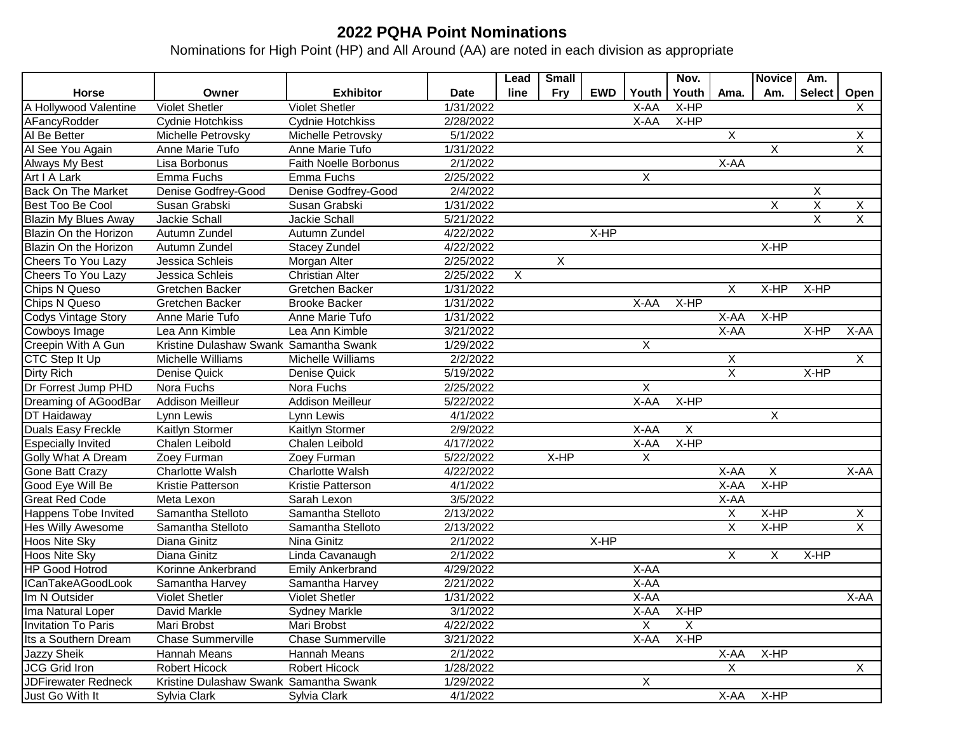## **2022 PQHA Point Nominations**

Nominations for High Point (HP) and All Around (AA) are noted in each division as appropriate

|                             |                                        |                          |             | Lead | <b>Small</b> |            |                | Nov.      |                         | <b>Novice</b> | Am.           |                |
|-----------------------------|----------------------------------------|--------------------------|-------------|------|--------------|------------|----------------|-----------|-------------------------|---------------|---------------|----------------|
| <b>Horse</b>                | Owner                                  | <b>Exhibitor</b>         | <b>Date</b> | line | <b>Fry</b>   | <b>EWD</b> | Youth          | Youth     | Ama.                    | Am.           | <b>Select</b> | Open           |
| A Hollywood Valentine       | <b>Violet Shetler</b>                  | <b>Violet Shetler</b>    | 1/31/2022   |      |              |            | X-AA           | $X-HP$    |                         |               |               | X              |
| AFancyRodder                | <b>Cydnie Hotchkiss</b>                | <b>Cydnie Hotchkiss</b>  | 2/28/2022   |      |              |            | X-AA           | $X-HP$    |                         |               |               |                |
| Al Be Better                | Michelle Petrovsky                     | Michelle Petrovsky       | 5/1/2022    |      |              |            |                |           | X                       |               |               | X              |
| Al See You Again            | Anne Marie Tufo                        | Anne Marie Tufo          | 1/31/2022   |      |              |            |                |           |                         | X             |               | $\overline{X}$ |
| <b>Always My Best</b>       | Lisa Borbonus                          | Faith Noelle Borbonus    | 2/1/2022    |      |              |            |                |           | X-AA                    |               |               |                |
| Art I A Lark                | Emma Fuchs                             | Emma Fuchs               | 2/25/2022   |      |              |            | $\overline{X}$ |           |                         |               |               |                |
| <b>Back On The Market</b>   | Denise Godfrey-Good                    | Denise Godfrey-Good      | 2/4/2022    |      |              |            |                |           |                         |               | X             |                |
| Best Too Be Cool            | Susan Grabski                          | Susan Grabski            | 1/31/2022   |      |              |            |                |           |                         | X             | X             | X              |
| <b>Blazin My Blues Away</b> | Jackie Schall                          | <b>Jackie Schall</b>     | 5/21/2022   |      |              |            |                |           |                         |               | X             | $\overline{X}$ |
| Blazin On the Horizon       | Autumn Zundel                          | Autumn Zundel            | 4/22/2022   |      |              | X-HP       |                |           |                         |               |               |                |
| Blazin On the Horizon       | Autumn Zundel                          | <b>Stacey Zundel</b>     | 4/22/2022   |      |              |            |                |           |                         | X-HP          |               |                |
| Cheers To You Lazy          | Jessica Schleis                        | Morgan Alter             | 2/25/2022   |      | $\sf X$      |            |                |           |                         |               |               |                |
| Cheers To You Lazy          | Jessica Schleis                        | <b>Christian Alter</b>   | 2/25/2022   | X    |              |            |                |           |                         |               |               |                |
| Chips N Queso               | Gretchen Backer                        | Gretchen Backer          | 1/31/2022   |      |              |            |                |           | X                       | X-HP          | X-HP          |                |
| Chips N Queso               | Gretchen Backer                        | <b>Brooke Backer</b>     | 1/31/2022   |      |              |            | X-AA           | X-HP      |                         |               |               |                |
| <b>Codys Vintage Story</b>  | Anne Marie Tufo                        | Anne Marie Tufo          | 1/31/2022   |      |              |            |                |           | X-AA                    | $X-HP$        |               |                |
| Cowboys Image               | Lea Ann Kimble                         | Lea Ann Kimble           | 3/21/2022   |      |              |            |                |           | X-AA                    |               | $X - HP$      | X-AA           |
| Creepin With A Gun          | Kristine Dulashaw Swank Samantha Swank |                          | 1/29/2022   |      |              |            | $\overline{X}$ |           |                         |               |               |                |
| <b>CTC Step It Up</b>       | Michelle Williams                      | Michelle Williams        | 2/2/2022    |      |              |            |                |           | X                       |               |               | $\overline{X}$ |
| <b>Dirty Rich</b>           | Denise Quick                           | Denise Quick             | 5/19/2022   |      |              |            |                |           | $\overline{\mathsf{x}}$ |               | $X-HP$        |                |
| Dr Forrest Jump PHD         | Nora Fuchs                             | Nora Fuchs               | 2/25/2022   |      |              |            | X              |           |                         |               |               |                |
| Dreaming of AGoodBar        | <b>Addison Meilleur</b>                | <b>Addison Meilleur</b>  | 5/22/2022   |      |              |            | $X-AA$         | $X-HP$    |                         |               |               |                |
| <b>DT</b> Haidaway          | Lynn Lewis                             | Lynn Lewis               | 4/1/2022    |      |              |            |                |           |                         | X             |               |                |
| Duals Easy Freckle          | Kaitlyn Stormer                        | Kaitlyn Stormer          | 2/9/2022    |      |              |            | X-AA           | X         |                         |               |               |                |
| <b>Especially Invited</b>   | Chalen Leibold                         | Chalen Leibold           | 4/17/2022   |      |              |            | X-AA           | X-HP      |                         |               |               |                |
| <b>Golly What A Dream</b>   | Zoey Furman                            | Zoey Furman              | 5/22/2022   |      | X-HP         |            | X              |           |                         |               |               |                |
| <b>Gone Batt Crazy</b>      | <b>Charlotte Walsh</b>                 | Charlotte Walsh          | 4/22/2022   |      |              |            |                |           | X-AA                    | $\mathsf{X}$  |               | X-AA           |
| Good Eye Will Be            | Kristie Patterson                      | Kristie Patterson        | 4/1/2022    |      |              |            |                |           | X-AA                    | X-HP          |               |                |
| Great Red Code              | Meta Lexon                             | Sarah Lexon              | 3/5/2022    |      |              |            |                |           | X-AA                    |               |               |                |
| <b>Happens Tobe Invited</b> | Samantha Stelloto                      | Samantha Stelloto        | 2/13/2022   |      |              |            |                |           | Χ                       | $X-HP$        |               | $\sf X$        |
| <b>Hes Willy Awesome</b>    | Samantha Stelloto                      | Samantha Stelloto        | 2/13/2022   |      |              |            |                |           | X                       | X-HP          |               | $\sf X$        |
| Hoos Nite Sky               | Diana Ginitz                           | Nina Ginitz              | 2/1/2022    |      |              | X-HP       |                |           |                         |               |               |                |
| Hoos Nite Sky               | Diana Ginitz                           | Linda Cavanaugh          | 2/1/2022    |      |              |            |                |           | X                       | X             | X-HP          |                |
| <b>HP Good Hotrod</b>       | Korinne Ankerbrand                     | <b>Emily Ankerbrand</b>  | 4/29/2022   |      |              |            | X-AA           |           |                         |               |               |                |
| ICanTakeAGoodLook           | Samantha Harvey                        | Samantha Harvey          | 2/21/2022   |      |              |            | X-AA           |           |                         |               |               |                |
| Im N Outsider               | <b>Violet Shetler</b>                  | <b>Violet Shetler</b>    | 1/31/2022   |      |              |            | X-AA           |           |                         |               |               | X-AA           |
| Ima Natural Loper           | David Markle                           | <b>Sydney Markle</b>     | 3/1/2022    |      |              |            |                | X-AA X-HP |                         |               |               |                |
| <b>Invitation To Paris</b>  | Mari Brobst                            | Mari Brobst              | 4/22/2022   |      |              |            | X              | X         |                         |               |               |                |
| Its a Southern Dream        | Chase Summerville                      | <b>Chase Summerville</b> | 3/21/2022   |      |              |            | X-AA           | $X-HP$    |                         |               |               |                |
| Jazzy Sheik                 | Hannah Means                           | Hannah Means             | 2/1/2022    |      |              |            |                |           | X-AA                    | $X-HP$        |               |                |
| JCG Grid Iron               | Robert Hicock                          | Robert Hicock            | 1/28/2022   |      |              |            |                |           | $\mathsf{X}$            |               |               | $\overline{X}$ |
| <b>JDFirewater Redneck</b>  | Kristine Dulashaw Swank Samantha Swank |                          | 1/29/2022   |      |              |            | X              |           |                         |               |               |                |
| Just Go With It             | Sylvia Clark                           | Sylvia Clark             | 4/1/2022    |      |              |            |                |           | X-AA                    | $X-HP$        |               |                |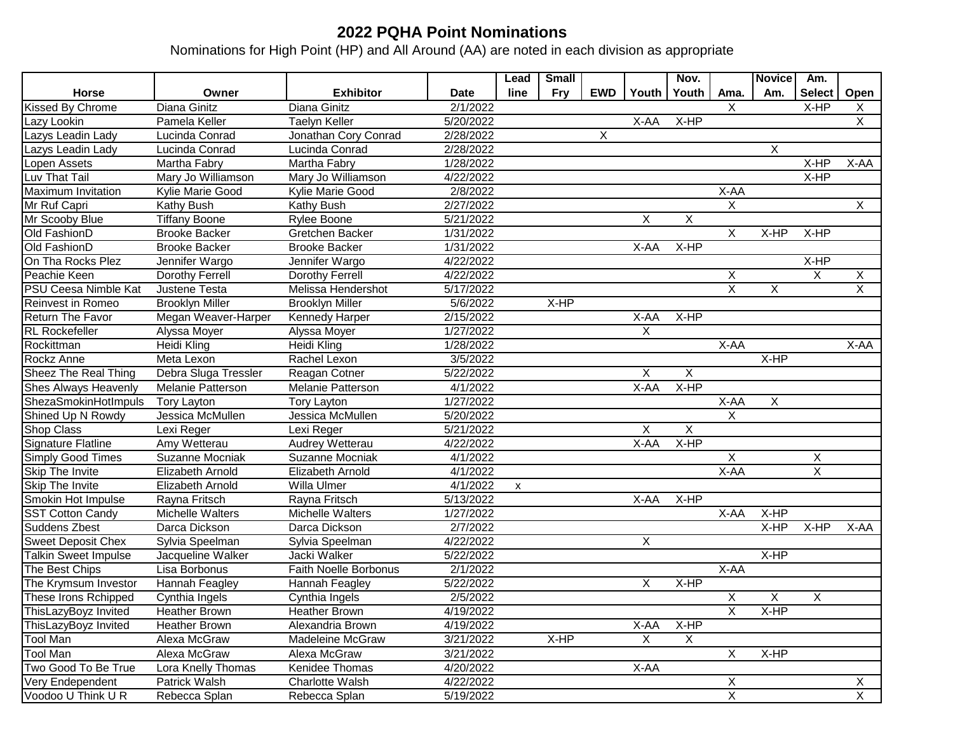## **2022 PQHA Point Nominations**

Nominations for High Point (HP) and All Around (AA) are noted in each division as appropriate

|                             |                        |                          |             | Lead | Small      |            |                         | Nov.    |                         | <b>Novice</b>  | Am.            |                         |
|-----------------------------|------------------------|--------------------------|-------------|------|------------|------------|-------------------------|---------|-------------------------|----------------|----------------|-------------------------|
| <b>Horse</b>                | Owner                  | <b>Exhibitor</b>         | <b>Date</b> | line | <b>Fry</b> | <b>EWD</b> | Youth                   | Youth   | Ama.                    | Am.            | <b>Select</b>  | Open                    |
| <b>Kissed By Chrome</b>     | Diana Ginitz           | Diana Ginitz             | 2/1/2022    |      |            |            |                         |         | $\overline{X}$          |                | $X-HP$         | X                       |
| Lazy Lookin                 | Pamela Keller          | <b>Taelyn Keller</b>     | 5/20/2022   |      |            |            | X-AA                    | $X-HP$  |                         |                |                | $\overline{X}$          |
| Lazys Leadin Lady           | Lucinda Conrad         | Jonathan Cory Conrad     | 2/28/2022   |      |            | X          |                         |         |                         |                |                |                         |
| Lazys Leadin Lady           | Lucinda Conrad         | Lucinda Conrad           | 2/28/2022   |      |            |            |                         |         |                         | X              |                |                         |
| Lopen Assets                | Martha Fabry           | Martha Fabry             | 1/28/2022   |      |            |            |                         |         |                         |                | X-HP           | X-AA                    |
| Luv That Tail               | Mary Jo Williamson     | Mary Jo Williamson       | 4/22/2022   |      |            |            |                         |         |                         |                | X-HP           |                         |
| Maximum Invitation          | Kylie Marie Good       | Kylie Marie Good         | 2/8/2022    |      |            |            |                         |         | X-AA                    |                |                |                         |
| Mr Ruf Capri                | Kathy Bush             | Kathy Bush               | 2/27/2022   |      |            |            |                         |         | X                       |                |                | X                       |
| Mr Scooby Blue              | <b>Tiffany Boone</b>   | Rylee Boone              | 5/21/2022   |      |            |            | X                       | X       |                         |                |                |                         |
| Old FashionD                | <b>Brooke Backer</b>   | Gretchen Backer          | 1/31/2022   |      |            |            |                         |         | X                       | X-HP           | X-HP           |                         |
| Old FashionD                | <b>Brooke Backer</b>   | <b>Brooke Backer</b>     | 1/31/2022   |      |            |            | X-AA                    | $X-HP$  |                         |                |                |                         |
| On Tha Rocks Plez           | Jennifer Wargo         | Jennifer Wargo           | 4/22/2022   |      |            |            |                         |         |                         |                | X-HP           |                         |
| Peachie Keen                | Dorothy Ferrell        | Dorothy Ferrell          | 4/22/2022   |      |            |            |                         |         | X                       |                | X              | X                       |
| <b>PSU Ceesa Nimble Kat</b> | Justene Testa          | Melissa Hendershot       | 5/17/2022   |      |            |            |                         |         | $\overline{\mathsf{x}}$ | X              |                | $\overline{\mathsf{x}}$ |
| <b>Reinvest in Romeo</b>    | <b>Brooklyn Miller</b> | <b>Brooklyn Miller</b>   | 5/6/2022    |      | X-HP       |            |                         |         |                         |                |                |                         |
| <b>Return The Favor</b>     | Megan Weaver-Harper    | Kennedy Harper           | 2/15/2022   |      |            |            | X-AA                    | X-HP    |                         |                |                |                         |
| <b>RL</b> Rockefeller       | Alyssa Moyer           | Alyssa Moyer             | 1/27/2022   |      |            |            | X                       |         |                         |                |                |                         |
| Rockittman                  | <b>Heidi Kling</b>     | Heidi Kling              | 1/28/2022   |      |            |            |                         |         | $X-AA$                  |                |                | X-AA                    |
| Rockz Anne                  | Meta Lexon             | Rachel Lexon             | 3/5/2022    |      |            |            |                         |         |                         | $X-HP$         |                |                         |
| <b>Sheez The Real Thing</b> | Debra Sluga Tressler   | Reagan Cotner            | 5/22/2022   |      |            |            | X                       | X       |                         |                |                |                         |
| <b>Shes Always Heavenly</b> | Melanie Patterson      | <b>Melanie Patterson</b> | 4/1/2022    |      |            |            | X-AA                    | X-HP    |                         |                |                |                         |
| ShezaSmokinHotImpuls        | <b>Tory Layton</b>     | <b>Tory Layton</b>       | 1/27/2022   |      |            |            |                         |         | $X-AA$                  | $\overline{X}$ |                |                         |
| Shined Up N Rowdy           | Jessica McMullen       | Jessica McMullen         | 5/20/2022   |      |            |            |                         |         | $\sf X$                 |                |                |                         |
| <b>Shop Class</b>           | Lexi Reger             | Lexi Reger               | 5/21/2022   |      |            |            | X                       | $\sf X$ |                         |                |                |                         |
| <b>Signature Flatline</b>   | Amy Wetterau           | Audrey Wetterau          | 4/22/2022   |      |            |            | X-AA                    | X-HP    |                         |                |                |                         |
| <b>Simply Good Times</b>    | Suzanne Mocniak        | Suzanne Mocniak          | 4/1/2022    |      |            |            |                         |         | $\overline{X}$          |                | X              |                         |
| Skip The Invite             | Elizabeth Arnold       | Elizabeth Arnold         | 4/1/2022    |      |            |            |                         |         | X-AA                    |                | $\overline{X}$ |                         |
| Skip The Invite             | Elizabeth Arnold       | Willa Ulmer              | 4/1/2022    | X    |            |            |                         |         |                         |                |                |                         |
| Smokin Hot Impulse          | Rayna Fritsch          | Rayna Fritsch            | 5/13/2022   |      |            |            | X-AA                    | X-HP    |                         |                |                |                         |
| <b>SST Cotton Candy</b>     | Michelle Walters       | Michelle Walters         | 1/27/2022   |      |            |            |                         |         | X-AA                    | $X-HP$         |                |                         |
| <b>Suddens Zbest</b>        | Darca Dickson          | Darca Dickson            | 2/7/2022    |      |            |            |                         |         |                         | X-HP           | X-HP           | X-AA                    |
| <b>Sweet Deposit Chex</b>   | Sylvia Speelman        | Sylvia Speelman          | 4/22/2022   |      |            |            | Χ                       |         |                         |                |                |                         |
| Talkin Sweet Impulse        | Jacqueline Walker      | Jacki Walker             | 5/22/2022   |      |            |            |                         |         |                         | X-HP           |                |                         |
| The Best Chips              | Lisa Borbonus          | Faith Noelle Borbonus    | 2/1/2022    |      |            |            |                         |         | X-AA                    |                |                |                         |
| The Krymsum Investor        | <b>Hannah Feagley</b>  | Hannah Feagley           | 5/22/2022   |      |            |            | $\overline{\mathsf{X}}$ | $X-HP$  |                         |                |                |                         |
| These Irons Rchipped        | Cynthia Ingels         | Cynthia Ingels           | 2/5/2022    |      |            |            |                         |         | Χ                       | X              | $\overline{X}$ |                         |
| ThisLazyBoyz Invited        | <b>Heather Brown</b>   | Heather Brown            | 4/19/2022   |      |            |            |                         |         | $\overline{X}$          | $X-HP$         |                |                         |
| ThisLazyBoyz Invited        | <b>Heather Brown</b>   | Alexandria Brown         | 4/19/2022   |      |            |            | X-AA                    | X-HP    |                         |                |                |                         |
| <b>Tool Man</b>             | Alexa McGraw           | Madeleine McGraw         | 3/21/2022   |      | $X-HP$     |            | X                       | X       |                         |                |                |                         |
| <b>Tool Man</b>             | Alexa McGraw           | Alexa McGraw             | 3/21/2022   |      |            |            |                         |         | X                       | $X-HP$         |                |                         |
| Two Good To Be True         | Lora Knelly Thomas     | Kenidee Thomas           | 4/20/2022   |      |            |            | X-AA                    |         |                         |                |                |                         |
| Very Endependent            | Patrick Walsh          | Charlotte Walsh          | 4/22/2022   |      |            |            |                         |         | X                       |                |                | X                       |
| Voodoo U Think U R          | Rebecca Splan          | Rebecca Splan            | 5/19/2022   |      |            |            |                         |         | $\overline{X}$          |                |                | $\overline{X}$          |